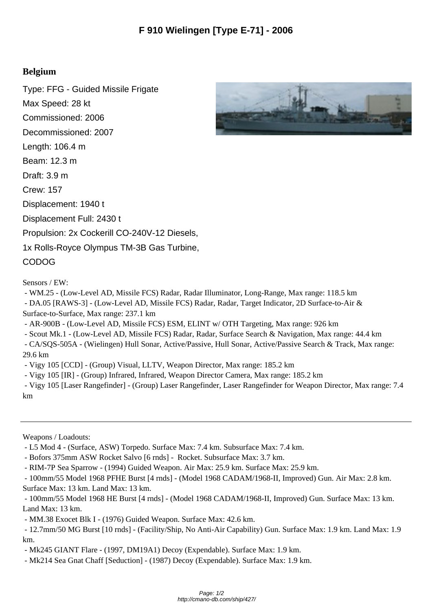## **Belgium**

Type: FFG - Guided Missile Frigate Max Speed: 28 kt Commissioned: 2006 Decommissioned: 2007 Length: 106.4 m Beam: 12.3 m Draft: 3.9 m Crew: 157 Displacement: 1940 t Displacement Full: 2430 t Propulsion: 2x Cockerill CO-240V-12 Diesels, 1x Rolls-Royce Olympus TM-3B Gas Turbine, CODOG

Sensors / EW:

- WM.25 - (Low-Level AD, Missile FCS) Radar, Radar Illuminator, Long-Range, Max range: 118.5 km

 - DA.05 [RAWS-3] - (Low-Level AD, Missile FCS) Radar, Radar, Target Indicator, 2D Surface-to-Air & Surface-to-Surface, Max range: 237.1 km

- AR-900B - (Low-Level AD, Missile FCS) ESM, ELINT w/ OTH Targeting, Max range: 926 km

- Scout Mk.1 - (Low-Level AD, Missile FCS) Radar, Radar, Surface Search & Navigation, Max range: 44.4 km

 - CA/SQS-505A - (Wielingen) Hull Sonar, Active/Passive, Hull Sonar, Active/Passive Search & Track, Max range: 29.6 km

- Vigy 105 [CCD] - (Group) Visual, LLTV, Weapon Director, Max range: 185.2 km

- Vigy 105 [IR] - (Group) Infrared, Infrared, Weapon Director Camera, Max range: 185.2 km

 - Vigy 105 [Laser Rangefinder] - (Group) Laser Rangefinder, Laser Rangefinder for Weapon Director, Max range: 7.4 km

Weapons / Loadouts:

- L5 Mod 4 - (Surface, ASW) Torpedo. Surface Max: 7.4 km. Subsurface Max: 7.4 km.

- Bofors 375mm ASW Rocket Salvo [6 rnds] - Rocket. Subsurface Max: 3.7 km.

- RIM-7P Sea Sparrow - (1994) Guided Weapon. Air Max: 25.9 km. Surface Max: 25.9 km.

 - 100mm/55 Model 1968 PFHE Burst [4 rnds] - (Model 1968 CADAM/1968-II, Improved) Gun. Air Max: 2.8 km. Surface Max: 13 km. Land Max: 13 km.

 - 100mm/55 Model 1968 HE Burst [4 rnds] - (Model 1968 CADAM/1968-II, Improved) Gun. Surface Max: 13 km. Land Max: 13 km.

- MM.38 Exocet Blk I - (1976) Guided Weapon. Surface Max: 42.6 km.

 - 12.7mm/50 MG Burst [10 rnds] - (Facility/Ship, No Anti-Air Capability) Gun. Surface Max: 1.9 km. Land Max: 1.9 km.

- Mk245 GIANT Flare - (1997, DM19A1) Decoy (Expendable). Surface Max: 1.9 km.

- Mk214 Sea Gnat Chaff [Seduction] - (1987) Decoy (Expendable). Surface Max: 1.9 km.